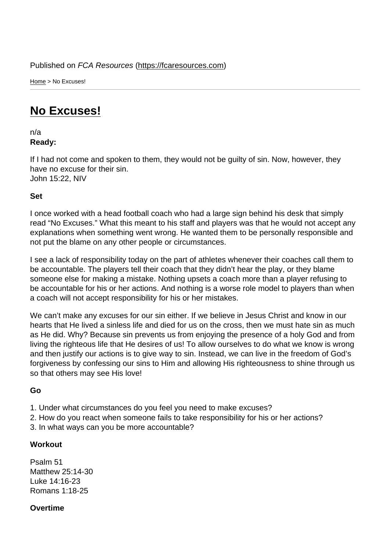Home > No Excuses!

## [No](https://fcaresources.com/) Excuses!

n/a [Ready:](https://fcaresources.com/devotional/no-excuses) 

If I had not come and spoken to them, they would not be guilty of sin. Now, however, they have no excuse for their sin. John 15:22, NIV

Set

I once worked with a head football coach who had a large sign behind his desk that simply read "No Excuses." What this meant to his staff and players was that he would not accept any explanations when something went wrong. He wanted them to be personally responsible and not put the blame on any other people or circumstances.

I see a lack of responsibility today on the part of athletes whenever their coaches call them to be accountable. The players tell their coach that they didn't hear the play, or they blame someone else for making a mistake. Nothing upsets a coach more than a player refusing to be accountable for his or her actions. And nothing is a worse role model to players than when a coach will not accept responsibility for his or her mistakes.

We can't make any excuses for our sin either. If we believe in Jesus Christ and know in our hearts that He lived a sinless life and died for us on the cross, then we must hate sin as much as He did. Why? Because sin prevents us from enjoying the presence of a holy God and from living the righteous life that He desires of us! To allow ourselves to do what we know is wrong and then justify our actions is to give way to sin. Instead, we can live in the freedom of God's forgiveness by confessing our sins to Him and allowing His righteousness to shine through us so that others may see His love!

Go

- 1. Under what circumstances do you feel you need to make excuses?
- 2. How do you react when someone fails to take responsibility for his or her actions?
- 3. In what ways can you be more accountable?

**Workout** 

Psalm 51 Matthew 25:14-30 Luke 14:16-23 Romans 1:18-25

**Overtime**